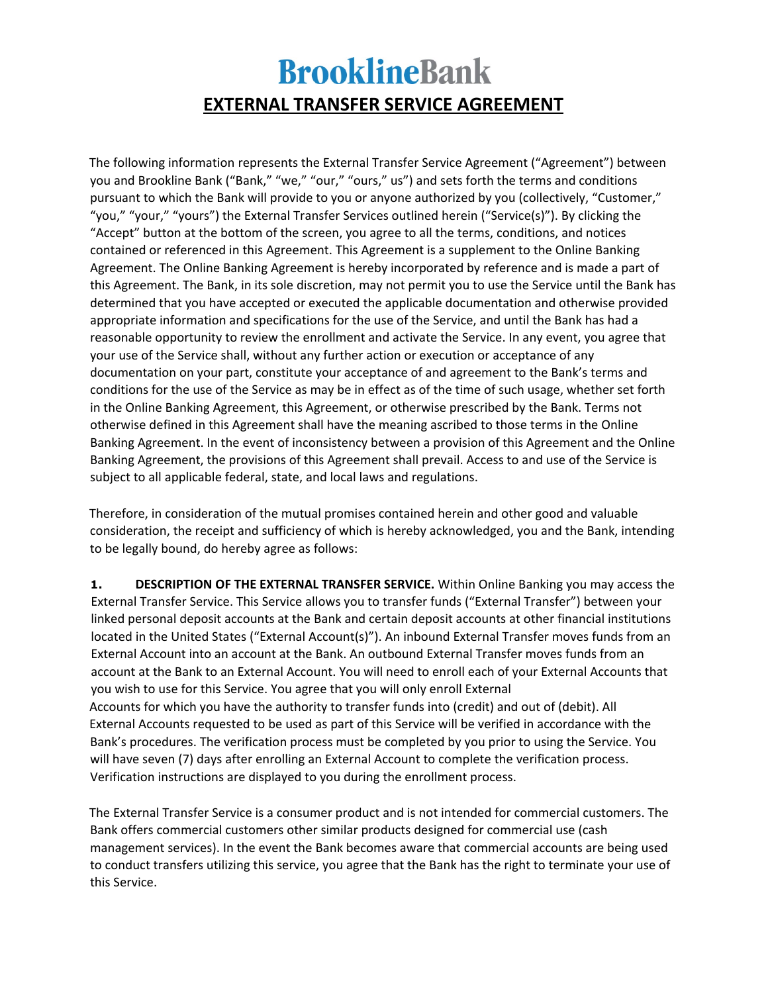## **BrooklineBank EXTERNAL TRANSFER SERVICE AGREEMENT**

The following information represents the External Transfer Service Agreement ("Agreement") between you and Brookline Bank ("Bank," "we," "our," "ours," us") and sets forth the terms and conditions pursuant to which the Bank will provide to you or anyone authorized by you (collectively, "Customer," "you," "your," "yours") the External Transfer Services outlined herein ("Service(s)"). By clicking the "Accept" button at the bottom of the screen, you agree to all the terms, conditions, and notices contained or referenced in this Agreement. This Agreement is a supplement to the Online Banking Agreement. The Online Banking Agreement is hereby incorporated by reference and is made a part of this Agreement. The Bank, in its sole discretion, may not permit you to use the Service until the Bank has determined that you have accepted or executed the applicable documentation and otherwise provided appropriate information and specifications for the use of the Service, and until the Bank has had a reasonable opportunity to review the enrollment and activate the Service. In any event, you agree that your use of the Service shall, without any further action or execution or acceptance of any documentation on your part, constitute your acceptance of and agreement to the Bank's terms and conditions for the use of the Service as may be in effect as of the time of such usage, whether set forth in the Online Banking Agreement, this Agreement, or otherwise prescribed by the Bank. Terms not otherwise defined in this Agreement shall have the meaning ascribed to those terms in the Online Banking Agreement. In the event of inconsistency between a provision of this Agreement and the Online Banking Agreement, the provisions of this Agreement shall prevail. Access to and use of the Service is subject to all applicable federal, state, and local laws and regulations.

Therefore, in consideration of the mutual promises contained herein and other good and valuable consideration, the receipt and sufficiency of which is hereby acknowledged, you and the Bank, intending to be legally bound, do hereby agree as follows:

**1. DESCRIPTION OF THE EXTERNAL TRANSFER SERVICE.** Within Online Banking you may access the External Transfer Service. This Service allows you to transfer funds ("External Transfer") between your linked personal deposit accounts at the Bank and certain deposit accounts at other financial institutions located in the United States ("External Account(s)"). An inbound External Transfer moves funds from an External Account into an account at the Bank. An outbound External Transfer moves funds from an account at the Bank to an External Account. You will need to enroll each of your External Accounts that you wish to use for this Service. You agree that you will only enroll External Accounts for which you have the authority to transfer funds into (credit) and out of (debit). All External Accounts requested to be used as part of this Service will be verified in accordance with the Bank's procedures. The verification process must be completed by you prior to using the Service. You will have seven (7) days after enrolling an External Account to complete the verification process. Verification instructions are displayed to you during the enrollment process.

The External Transfer Service is a consumer product and is not intended for commercial customers. The Bank offers commercial customers other similar products designed for commercial use (cash management services). In the event the Bank becomes aware that commercial accounts are being used to conduct transfers utilizing this service, you agree that the Bank has the right to terminate your use of this Service.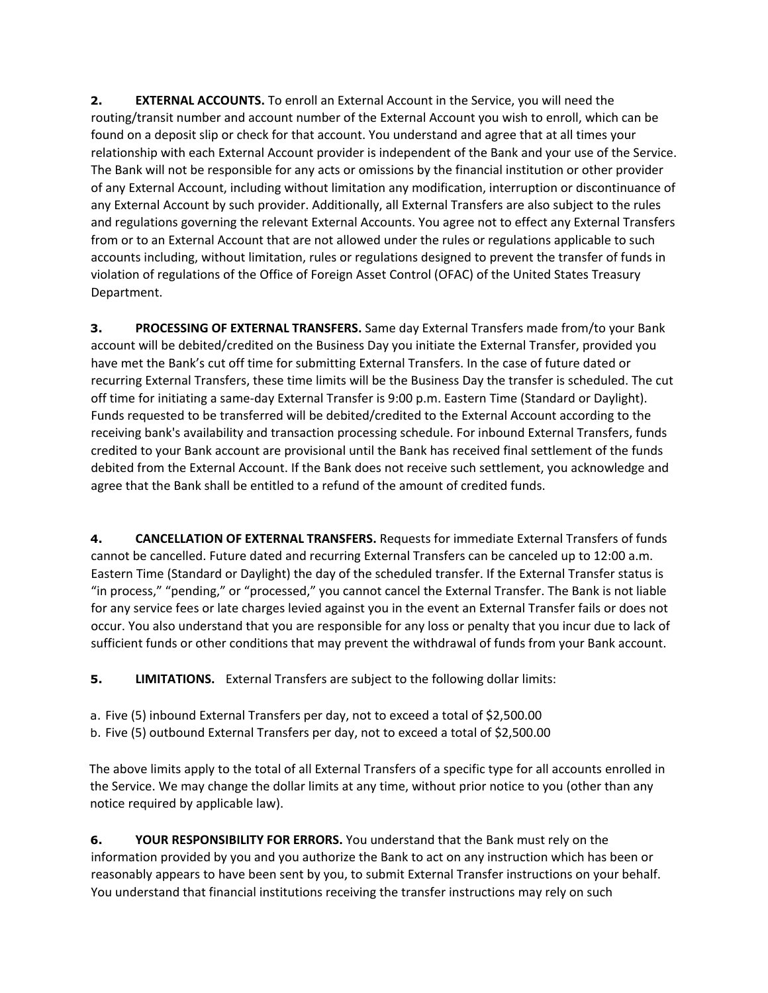**2. EXTERNAL ACCOUNTS.** To enroll an External Account in the Service, you will need the routing/transit number and account number of the External Account you wish to enroll, which can be found on a deposit slip or check for that account. You understand and agree that at all times your relationship with each External Account provider is independent of the Bank and your use of the Service. The Bank will not be responsible for any acts or omissions by the financial institution or other provider of any External Account, including without limitation any modification, interruption or discontinuance of any External Account by such provider. Additionally, all External Transfers are also subject to the rules and regulations governing the relevant External Accounts. You agree not to effect any External Transfers from or to an External Account that are not allowed under the rules or regulations applicable to such accounts including, without limitation, rules or regulations designed to prevent the transfer of funds in violation of regulations of the Office of Foreign Asset Control (OFAC) of the United States Treasury Department.

**3. PROCESSING OF EXTERNAL TRANSFERS.** Same day External Transfers made from/to your Bank account will be debited/credited on the Business Day you initiate the External Transfer, provided you have met the Bank's cut off time for submitting External Transfers. In the case of future dated or recurring External Transfers, these time limits will be the Business Day the transfer is scheduled. The cut off time for initiating a same-day External Transfer is 9:00 p.m. Eastern Time (Standard or Daylight). Funds requested to be transferred will be debited/credited to the External Account according to the receiving bank's availability and transaction processing schedule. For inbound External Transfers, funds credited to your Bank account are provisional until the Bank has received final settlement of the funds debited from the External Account. If the Bank does not receive such settlement, you acknowledge and agree that the Bank shall be entitled to a refund of the amount of credited funds.

**4. CANCELLATION OF EXTERNAL TRANSFERS.** Requests for immediate External Transfers of funds cannot be cancelled. Future dated and recurring External Transfers can be canceled up to 12:00 a.m. Eastern Time (Standard or Daylight) the day of the scheduled transfer. If the External Transfer status is "in process," "pending," or "processed," you cannot cancel the External Transfer. The Bank is not liable for any service fees or late charges levied against you in the event an External Transfer fails or does not occur. You also understand that you are responsible for any loss or penalty that you incur due to lack of sufficient funds or other conditions that may prevent the withdrawal of funds from your Bank account.

**5. LIMITATIONS.** External Transfers are subject to the following dollar limits:

- a. Five (5) inbound External Transfers per day, not to exceed a total of \$2,500.00
- b. Five (5) outbound External Transfers per day, not to exceed a total of \$2,500.00

The above limits apply to the total of all External Transfers of a specific type for all accounts enrolled in the Service. We may change the dollar limits at any time, without prior notice to you (other than any notice required by applicable law).

**6. YOUR RESPONSIBILITY FOR ERRORS.** You understand that the Bank must rely on the information provided by you and you authorize the Bank to act on any instruction which has been or reasonably appears to have been sent by you, to submit External Transfer instructions on your behalf. You understand that financial institutions receiving the transfer instructions may rely on such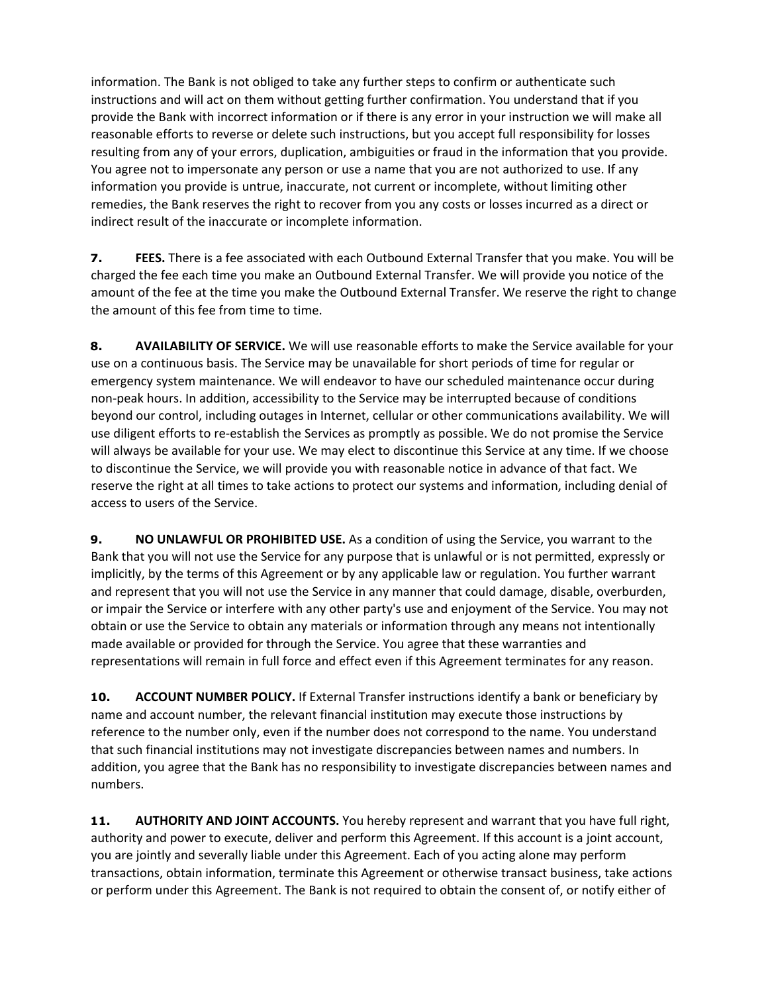information. The Bank is not obliged to take any further steps to confirm or authenticate such instructions and will act on them without getting further confirmation. You understand that if you provide the Bank with incorrect information or if there is any error in your instruction we will make all reasonable efforts to reverse or delete such instructions, but you accept full responsibility for losses resulting from any of your errors, duplication, ambiguities or fraud in the information that you provide. You agree not to impersonate any person or use a name that you are not authorized to use. If any information you provide is untrue, inaccurate, not current or incomplete, without limiting other remedies, the Bank reserves the right to recover from you any costs or losses incurred as a direct or indirect result of the inaccurate or incomplete information.

**7. FEES.** There is a fee associated with each Outbound External Transfer that you make. You will be charged the fee each time you make an Outbound External Transfer. We will provide you notice of the amount of the fee at the time you make the Outbound External Transfer. We reserve the right to change the amount of this fee from time to time.

**8. AVAILABILITY OF SERVICE.** We will use reasonable efforts to make the Service available for your use on a continuous basis. The Service may be unavailable for short periods of time for regular or emergency system maintenance. We will endeavor to have our scheduled maintenance occur during non-peak hours. In addition, accessibility to the Service may be interrupted because of conditions beyond our control, including outages in Internet, cellular or other communications availability. We will use diligent efforts to re-establish the Services as promptly as possible. We do not promise the Service will always be available for your use. We may elect to discontinue this Service at any time. If we choose to discontinue the Service, we will provide you with reasonable notice in advance of that fact. We reserve the right at all times to take actions to protect our systems and information, including denial of access to users of the Service.

**9. NO UNLAWFUL OR PROHIBITED USE.** As a condition of using the Service, you warrant to the Bank that you will not use the Service for any purpose that is unlawful or is not permitted, expressly or implicitly, by the terms of this Agreement or by any applicable law or regulation. You further warrant and represent that you will not use the Service in any manner that could damage, disable, overburden, or impair the Service or interfere with any other party's use and enjoyment of the Service. You may not obtain or use the Service to obtain any materials or information through any means not intentionally made available or provided for through the Service. You agree that these warranties and representations will remain in full force and effect even if this Agreement terminates for any reason.

**10. ACCOUNT NUMBER POLICY.** If External Transfer instructions identify a bank or beneficiary by name and account number, the relevant financial institution may execute those instructions by reference to the number only, even if the number does not correspond to the name. You understand that such financial institutions may not investigate discrepancies between names and numbers. In addition, you agree that the Bank has no responsibility to investigate discrepancies between names and numbers.

**11. AUTHORITY AND JOINT ACCOUNTS.** You hereby represent and warrant that you have full right, authority and power to execute, deliver and perform this Agreement. If this account is a joint account, you are jointly and severally liable under this Agreement. Each of you acting alone may perform transactions, obtain information, terminate this Agreement or otherwise transact business, take actions or perform under this Agreement. The Bank is not required to obtain the consent of, or notify either of